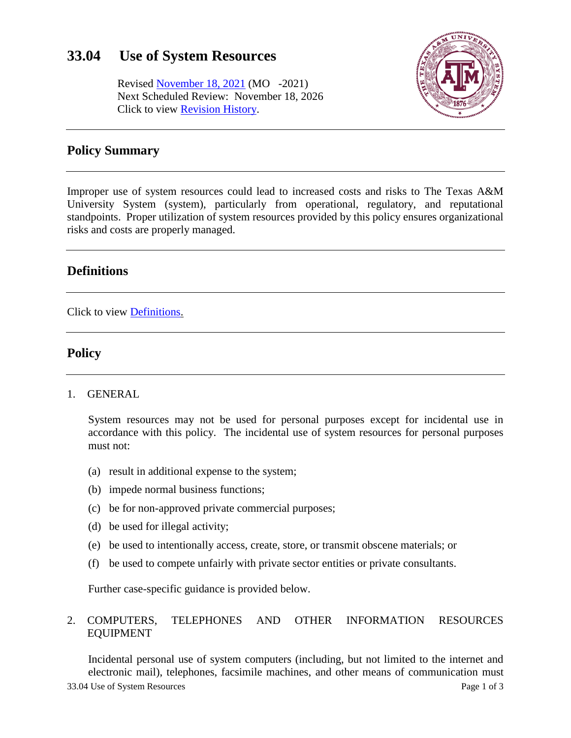# **33.04 Use of System Resources**

Revised [November 18, 2021](https://assets.system.tamus.edu/files/policy/pdf/annotated/33-04/33-04-ANN-080926.pdf) (MO -2021) Next Scheduled Review: November 18, 2026 Click to view [Revision History.](http://assets.system.tamus.edu/files/policy/pdf/REVISIONS/33-04-Versions.pdf)



## **Policy Summary**

Improper use of system resources could lead to increased costs and risks to The Texas A&M University System (system), particularly from operational, regulatory, and reputational standpoints. Proper utilization of system resources provided by this policy ensures organizational risks and costs are properly managed.

## **Definitions**

Click to view [Definitions.](http://assets.system.tamus.edu/files/policy/pdf/Definitions/33-04-Definitions.pdf)

## **Policy**

1. GENERAL

System resources may not be used for personal purposes except for incidental use in accordance with this policy. The incidental use of system resources for personal purposes must not:

- (a) result in additional expense to the system;
- (b) impede normal business functions;
- (c) be for non-approved private commercial purposes;
- (d) be used for illegal activity;
- (e) be used to intentionally access, create, store, or transmit obscene materials; or
- (f) be used to compete unfairly with private sector entities or private consultants.

Further case-specific guidance is provided below.

#### 2. COMPUTERS, TELEPHONES AND OTHER INFORMATION RESOURCES EQUIPMENT

33.04 Use of System Resources Page 1 of 3 Incidental personal use of system computers (including, but not limited to the internet and electronic mail), telephones, facsimile machines, and other means of communication must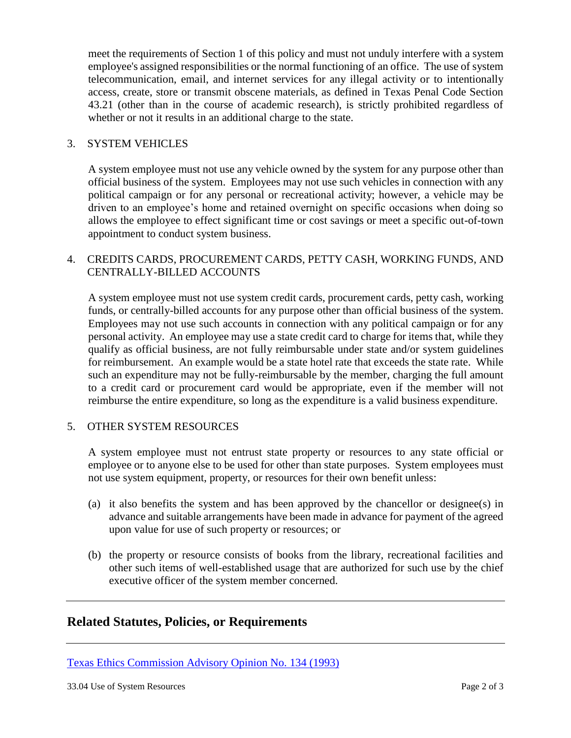meet the requirements of Section 1 of this policy and must not unduly interfere with a system employee's assigned responsibilities or the normal functioning of an office. The use of system telecommunication, email, and internet services for any illegal activity or to intentionally access, create, store or transmit obscene materials, as defined in Texas Penal Code Section 43.21 (other than in the course of academic research), is strictly prohibited regardless of whether or not it results in an additional charge to the state.

#### 3. SYSTEM VEHICLES

A system employee must not use any vehicle owned by the system for any purpose other than official business of the system. Employees may not use such vehicles in connection with any political campaign or for any personal or recreational activity; however, a vehicle may be driven to an employee's home and retained overnight on specific occasions when doing so allows the employee to effect significant time or cost savings or meet a specific out-of-town appointment to conduct system business.

#### 4. CREDITS CARDS, PROCUREMENT CARDS, PETTY CASH, WORKING FUNDS, AND CENTRALLY-BILLED ACCOUNTS

A system employee must not use system credit cards, procurement cards, petty cash, working funds, or centrally-billed accounts for any purpose other than official business of the system. Employees may not use such accounts in connection with any political campaign or for any personal activity. An employee may use a state credit card to charge for items that, while they qualify as official business, are not fully reimbursable under state and/or system guidelines for reimbursement. An example would be a state hotel rate that exceeds the state rate. While such an expenditure may not be fully-reimbursable by the member, charging the full amount to a credit card or procurement card would be appropriate, even if the member will not reimburse the entire expenditure, so long as the expenditure is a valid business expenditure.

#### 5. OTHER SYSTEM RESOURCES

A system employee must not entrust state property or resources to any state official or employee or to anyone else to be used for other than state purposes. System employees must not use system equipment, property, or resources for their own benefit unless:

- (a) it also benefits the system and has been approved by the chancellor or designee(s) in advance and suitable arrangements have been made in advance for payment of the agreed upon value for use of such property or resources; or
- (b) the property or resource consists of books from the library, recreational facilities and other such items of well-established usage that are authorized for such use by the chief executive officer of the system member concerned.

### **Related Statutes, Policies, or Requirements**

[Texas Ethics Commission Advisory Opinion No. 134 \(1993\)](https://www.ethics.state.tx.us/opinions/partI/134.html)